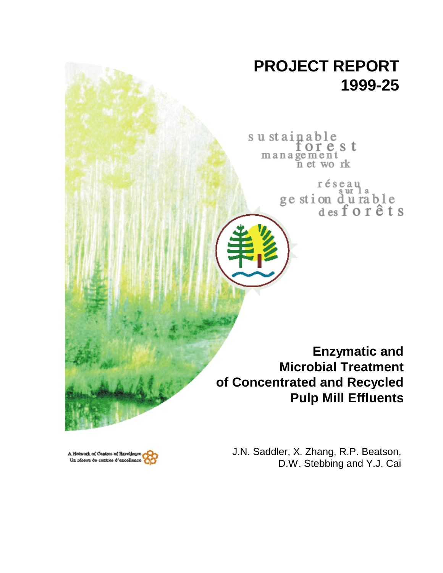# **PROJECT REPORT 1999-25**

sustainable orest management n et work

> réseau ge stion durable<br>desforêts

**Enzymatic and Microbial Treatment of Concentrated and Recycled Pulp Mill Effluents**

J.N. Saddler, X. Zhang, R.P. Beatson, D.W. Stebbing and Y.J. Cai

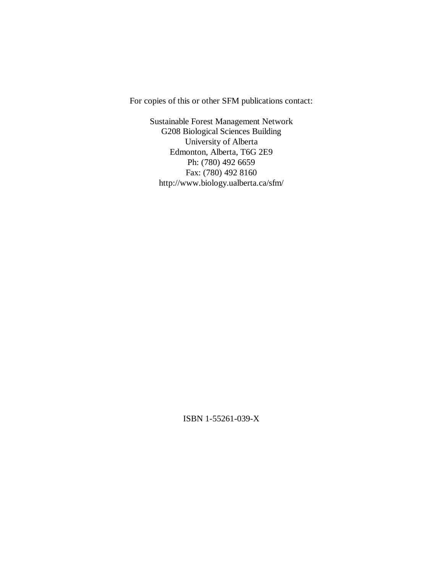For copies of this or other SFM publications contact:

Sustainable Forest Management Network G208 Biological Sciences Building University of Alberta Edmonton, Alberta, T6G 2E9 Ph: (780) 492 6659 Fax: (780) 492 8160 http://www.biology.ualberta.ca/sfm/

ISBN 1-55261-039-X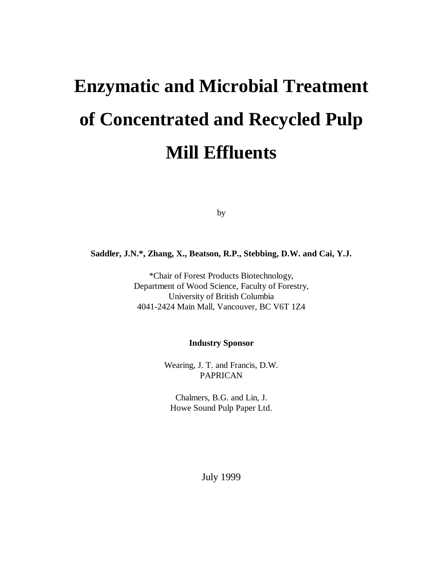# **Enzymatic and Microbial Treatment of Concentrated and Recycled Pulp Mill Effluents**

by

#### **Saddler, J.N.\*, Zhang, X., Beatson, R.P., Stebbing, D.W. and Cai, Y.J.**

\*Chair of Forest Products Biotechnology, Department of Wood Science, Faculty of Forestry, University of British Columbia 4041-2424 Main Mall, Vancouver, BC V6T 1Z4

**Industry Sponsor**

Wearing, J. T. and Francis, D.W. PAPRICAN

Chalmers, B.G. and Lin, J. Howe Sound Pulp Paper Ltd.

July 1999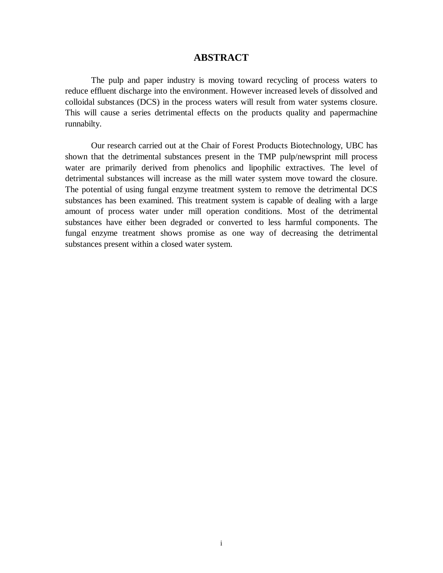# **ABSTRACT**

The pulp and paper industry is moving toward recycling of process waters to reduce effluent discharge into the environment. However increased levels of dissolved and colloidal substances (DCS) in the process waters will result from water systems closure. This will cause a series detrimental effects on the products quality and papermachine runnabilty.

Our research carried out at the Chair of Forest Products Biotechnology, UBC has shown that the detrimental substances present in the TMP pulp/newsprint mill process water are primarily derived from phenolics and lipophilic extractives. The level of detrimental substances will increase as the mill water system move toward the closure. The potential of using fungal enzyme treatment system to remove the detrimental DCS substances has been examined. This treatment system is capable of dealing with a large amount of process water under mill operation conditions. Most of the detrimental substances have either been degraded or converted to less harmful components. The fungal enzyme treatment shows promise as one way of decreasing the detrimental substances present within a closed water system.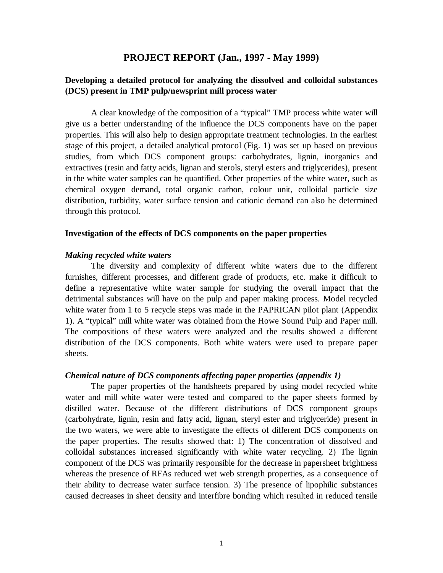# **PROJECT REPORT (Jan., 1997 - May 1999)**

# **Developing a detailed protocol for analyzing the dissolved and colloidal substances (DCS) present in TMP pulp/newsprint mill process water**

A clear knowledge of the composition of a "typical" TMP process white water will give us a better understanding of the influence the DCS components have on the paper properties. This will also help to design appropriate treatment technologies. In the earliest stage of this project, a detailed analytical protocol (Fig. 1) was set up based on previous studies, from which DCS component groups: carbohydrates, lignin, inorganics and extractives (resin and fatty acids, lignan and sterols, steryl esters and triglycerides), present in the white water samples can be quantified. Other properties of the white water, such as chemical oxygen demand, total organic carbon, colour unit, colloidal particle size distribution, turbidity, water surface tension and cationic demand can also be determined through this protocol.

#### **Investigation of the effects of DCS components on the paper properties**

#### *Making recycled white waters*

The diversity and complexity of different white waters due to the different furnishes, different processes, and different grade of products, etc. make it difficult to define a representative white water sample for studying the overall impact that the detrimental substances will have on the pulp and paper making process. Model recycled white water from 1 to 5 recycle steps was made in the PAPRICAN pilot plant (Appendix 1). A "typical" mill white water was obtained from the Howe Sound Pulp and Paper mill. The compositions of these waters were analyzed and the results showed a different distribution of the DCS components. Both white waters were used to prepare paper sheets.

#### *Chemical nature of DCS components affecting paper properties (appendix 1)*

The paper properties of the handsheets prepared by using model recycled white water and mill white water were tested and compared to the paper sheets formed by distilled water. Because of the different distributions of DCS component groups (carbohydrate, lignin, resin and fatty acid, lignan, steryl ester and triglyceride) present in the two waters, we were able to investigate the effects of different DCS components on the paper properties. The results showed that: 1) The concentration of dissolved and colloidal substances increased significantly with white water recycling. 2) The lignin component of the DCS was primarily responsible for the decrease in papersheet brightness whereas the presence of RFAs reduced wet web strength properties, as a consequence of their ability to decrease water surface tension. 3) The presence of lipophilic substances caused decreases in sheet density and interfibre bonding which resulted in reduced tensile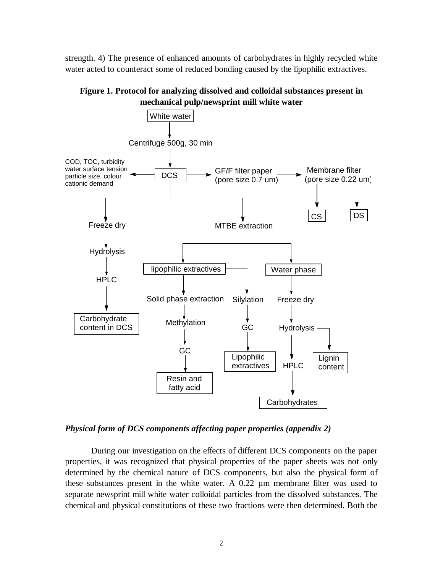strength. 4) The presence of enhanced amounts of carbohydrates in highly recycled white water acted to counteract some of reduced bonding caused by the lipophilic extractives.





*Physical form of DCS components affecting paper properties (appendix 2)*

During our investigation on the effects of different DCS components on the paper properties, it was recognized that physical properties of the paper sheets was not only determined by the chemical nature of DCS components, but also the physical form of these substances present in the white water. A 0.22 µm membrane filter was used to separate newsprint mill white water colloidal particles from the dissolved substances. The chemical and physical constitutions of these two fractions were then determined. Both the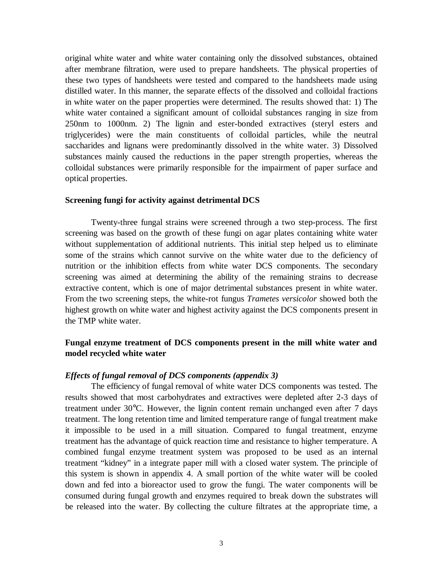original white water and white water containing only the dissolved substances, obtained after membrane filtration, were used to prepare handsheets. The physical properties of these two types of handsheets were tested and compared to the handsheets made using distilled water. In this manner, the separate effects of the dissolved and colloidal fractions in white water on the paper properties were determined. The results showed that: 1) The white water contained a significant amount of colloidal substances ranging in size from 250nm to 1000nm. 2) The lignin and ester-bonded extractives (steryl esters and triglycerides) were the main constituents of colloidal particles, while the neutral saccharides and lignans were predominantly dissolved in the white water. 3) Dissolved substances mainly caused the reductions in the paper strength properties, whereas the colloidal substances were primarily responsible for the impairment of paper surface and optical properties.

#### **Screening fungi for activity against detrimental DCS**

Twenty-three fungal strains were screened through a two step-process. The first screening was based on the growth of these fungi on agar plates containing white water without supplementation of additional nutrients. This initial step helped us to eliminate some of the strains which cannot survive on the white water due to the deficiency of nutrition or the inhibition effects from white water DCS components. The secondary screening was aimed at determining the ability of the remaining strains to decrease extractive content, which is one of major detrimental substances present in white water. From the two screening steps, the white-rot fungus *Trametes versicolor* showed both the highest growth on white water and highest activity against the DCS components present in the TMP white water.

# **Fungal enzyme treatment of DCS components present in the mill white water and model recycled white water**

#### *Effects of fungal removal of DCS components (appendix 3)*

The efficiency of fungal removal of white water DCS components was tested. The results showed that most carbohydrates and extractives were depleted after 2-3 days of treatment under 30°C. However, the lignin content remain unchanged even after 7 days treatment. The long retention time and limited temperature range of fungal treatment make it impossible to be used in a mill situation. Compared to fungal treatment, enzyme treatment has the advantage of quick reaction time and resistance to higher temperature. A combined fungal enzyme treatment system was proposed to be used as an internal treatment "kidney" in a integrate paper mill with a closed water system. The principle of this system is shown in appendix 4. A small portion of the white water will be cooled down and fed into a bioreactor used to grow the fungi. The water components will be consumed during fungal growth and enzymes required to break down the substrates will be released into the water. By collecting the culture filtrates at the appropriate time, a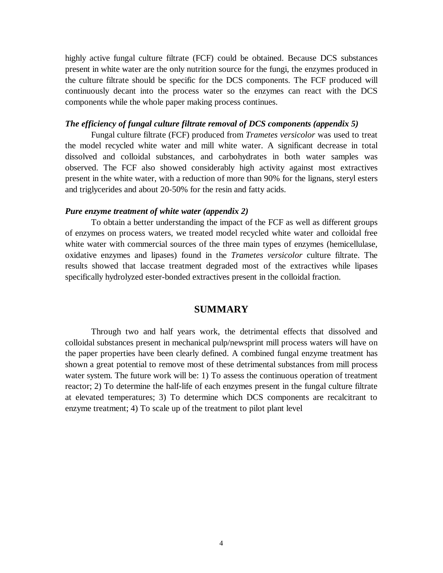highly active fungal culture filtrate (FCF) could be obtained. Because DCS substances present in white water are the only nutrition source for the fungi, the enzymes produced in the culture filtrate should be specific for the DCS components. The FCF produced will continuously decant into the process water so the enzymes can react with the DCS components while the whole paper making process continues.

#### *The efficiency of fungal culture filtrate removal of DCS components (appendix 5)*

Fungal culture filtrate (FCF) produced from *Trametes versicolor* was used to treat the model recycled white water and mill white water. A significant decrease in total dissolved and colloidal substances, and carbohydrates in both water samples was observed. The FCF also showed considerably high activity against most extractives present in the white water, with a reduction of more than 90% for the lignans, steryl esters and triglycerides and about 20-50% for the resin and fatty acids.

#### *Pure enzyme treatment of white water (appendix 2)*

To obtain a better understanding the impact of the FCF as well as different groups of enzymes on process waters, we treated model recycled white water and colloidal free white water with commercial sources of the three main types of enzymes (hemicellulase, oxidative enzymes and lipases) found in the *Trametes versicolor* culture filtrate. The results showed that laccase treatment degraded most of the extractives while lipases specifically hydrolyzed ester-bonded extractives present in the colloidal fraction.

# **SUMMARY**

Through two and half years work, the detrimental effects that dissolved and colloidal substances present in mechanical pulp/newsprint mill process waters will have on the paper properties have been clearly defined. A combined fungal enzyme treatment has shown a great potential to remove most of these detrimental substances from mill process water system. The future work will be: 1) To assess the continuous operation of treatment reactor; 2) To determine the half-life of each enzymes present in the fungal culture filtrate at elevated temperatures; 3) To determine which DCS components are recalcitrant to enzyme treatment; 4) To scale up of the treatment to pilot plant level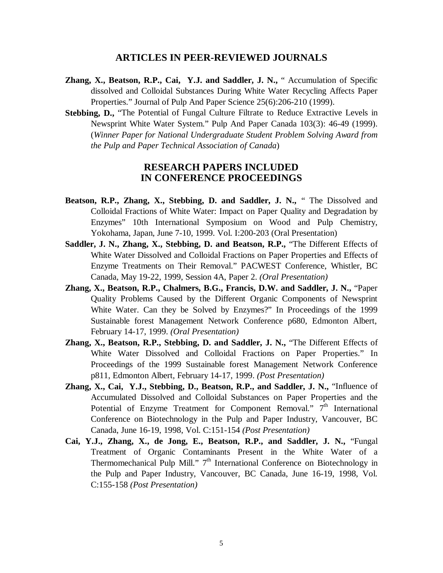# **ARTICLES IN PEER-REVIEWED JOURNALS**

- **Zhang, X., Beatson, R.P., Cai, Y.J. and Saddler, J. N.,** " Accumulation of Specific dissolved and Colloidal Substances During White Water Recycling Affects Paper Properties." Journal of Pulp And Paper Science 25(6):206-210 (1999).
- **Stebbing, D.,** "The Potential of Fungal Culture Filtrate to Reduce Extractive Levels in Newsprint White Water System." Pulp And Paper Canada 103(3): 46-49 (1999). (*Winner Paper for National Undergraduate Student Problem Solving Award from the Pulp and Paper Technical Association of Canada*)

# **RESEARCH PAPERS INCLUDED IN CONFERENCE PROCEEDINGS**

- **Beatson, R.P., Zhang, X., Stebbing, D. and Saddler, J. N.,** " The Dissolved and Colloidal Fractions of White Water: Impact on Paper Quality and Degradation by Enzymes" 10th International Symposium on Wood and Pulp Chemistry, Yokohama, Japan, June 7-10, 1999. Vol. I:200-203 (Oral Presentation)
- **Saddler, J. N., Zhang, X., Stebbing, D. and Beatson, R.P.,** "The Different Effects of White Water Dissolved and Colloidal Fractions on Paper Properties and Effects of Enzyme Treatments on Their Removal." PACWEST Conference, Whistler, BC Canada, May 19-22, 1999, Session 4A, Paper 2. *(Oral Presentation)*
- **Zhang, X., Beatson, R.P., Chalmers, B.G., Francis, D.W. and Saddler, J. N.,** "Paper Quality Problems Caused by the Different Organic Components of Newsprint White Water. Can they be Solved by Enzymes?" In Proceedings of the 1999 Sustainable forest Management Network Conference p680, Edmonton Albert, February 14-17, 1999. *(Oral Presentation)*
- **Zhang, X., Beatson, R.P., Stebbing, D. and Saddler, J. N.,** "The Different Effects of White Water Dissolved and Colloidal Fractions on Paper Properties." In Proceedings of the 1999 Sustainable forest Management Network Conference p811, Edmonton Albert, February 14-17, 1999. *(Post Presentation)*
- **Zhang, X., Cai, Y.J., Stebbing, D., Beatson, R.P., and Saddler, J. N.,** "Influence of Accumulated Dissolved and Colloidal Substances on Paper Properties and the Potential of Enzyme Treatment for Component Removal."  $7<sup>th</sup>$  International Conference on Biotechnology in the Pulp and Paper Industry, Vancouver, BC Canada, June 16-19, 1998, Vol. C:151-154 *(Post Presentation)*
- **Cai, Y.J., Zhang, X., de Jong, E., Beatson, R.P., and Saddler, J. N.,** "Fungal Treatment of Organic Contaminants Present in the White Water of a Thermomechanical Pulp Mill."  $7<sup>th</sup>$  International Conference on Biotechnology in the Pulp and Paper Industry, Vancouver, BC Canada, June 16-19, 1998, Vol. C:155-158 *(Post Presentation)*